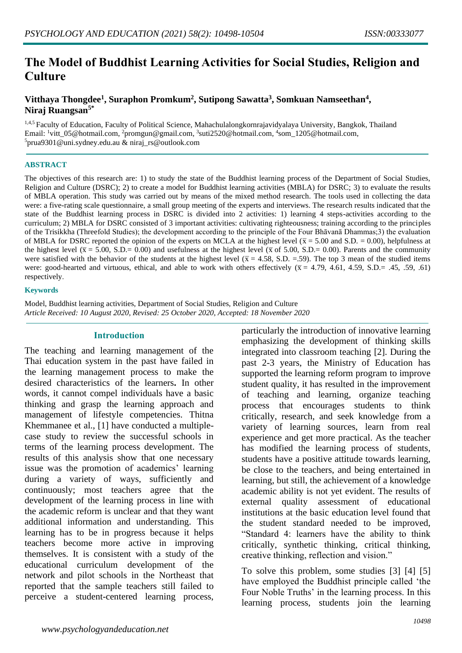# **The Model of Buddhist Learning Activities for Social Studies, Religion and Culture**

## **Vitthaya Thongdee<sup>1</sup> , Suraphon Promkum<sup>2</sup> , Sutipong Sawatta<sup>3</sup> , Somkuan Namseethan<sup>4</sup> , Niraj Ruangsan5\***

1,4,5 Faculty of Education, Faculty of Political Science, Mahachulalongkornrajavidyalaya University, Bangkok, Thailand Email: <sup>1</sup>vitt\_05@hotmail.com, <sup>2</sup>promgun@gmail.com, <sup>3</sup>suti2520@hotmail.com, <sup>4</sup>som\_1205@hotmail.com,  $5$ prua9301@uni.sydney.edu.au & niraj\_rs@outlook.com

#### **ABSTRACT**

The objectives of this research are: 1) to study the state of the Buddhist learning process of the Department of Social Studies, Religion and Culture (DSRC); 2) to create a model for Buddhist learning activities (MBLA) for DSRC; 3) to evaluate the results of MBLA operation. This study was carried out by means of the mixed method research. The tools used in collecting the data were: a five-rating scale questionnaire, a small group meeting of the experts and interviews. The research results indicated that the state of the Buddhist learning process in DSRC is divided into 2 activities: 1) learning 4 steps-activities according to the curriculum; 2) MBLA for DSRC consisted of 3 important activities: cultivating righteousness; training according to the principles of the Trisikkha (Threefold Studies); the development according to the principle of the Four Bhāvanā Dhammas;3) the evaluation of MBLA for DSRC reported the opinion of the experts on MCLA at the highest level ( $\bar{x}$  = 5.00 and S.D. = 0.00), helpfulness at the highest level ( $\bar{x}$  = 5.00, S.D.= 0.00) and usefulness at the highest level ( $\bar{x}$  of 5.00, S.D.= 0.00). Parents and the community were satisfied with the behavior of the students at the highest level ( $\bar{x}$  = 4.58, S.D. = 59). The top 3 mean of the studied items were: good-hearted and virtuous, ethical, and able to work with others effectively ( $\bar{x}$  = 4.79, 4.61, 4.59, S.D.= .45, .59, .61) respectively.

#### **Keywords**

Model, Buddhist learning activities, Department of Social Studies, Religion and Culture *Article Received: 10 August 2020, Revised: 25 October 2020, Accepted: 18 November 2020*

#### **Introduction**

The teaching and learning management of the Thai education system in the past have failed in the learning management process to make the desired characteristics of the learners**.** In other words, it cannot compel individuals have a basic thinking and grasp the learning approach and management of lifestyle competencies. Thitna Khemmanee et al., [1] have conducted a multiplecase study to review the successful schools in terms of the learning process development. The results of this analysis show that one necessary issue was the promotion of academics' learning during a variety of ways, sufficiently and continuously; most teachers agree that the development of the learning process in line with the academic reform is unclear and that they want additional information and understanding. This learning has to be in progress because it helps teachers become more active in improving themselves. It is consistent with a study of the educational curriculum development of the network and pilot schools in the Northeast that reported that the sample teachers still failed to perceive a student-centered learning process,

particularly the introduction of innovative learning emphasizing the development of thinking skills integrated into classroom teaching [2]. During the past 2-3 years, the Ministry of Education has supported the learning reform program to improve student quality, it has resulted in the improvement of teaching and learning, organize teaching process that encourages students to think critically, research, and seek knowledge from a variety of learning sources, learn from real experience and get more practical. As the teacher has modified the learning process of students, students have a positive attitude towards learning, be close to the teachers, and being entertained in learning, but still, the achievement of a knowledge academic ability is not yet evident. The results of external quality assessment of educational institutions at the basic education level found that the student standard needed to be improved, "Standard 4: learners have the ability to think critically, synthetic thinking, critical thinking, creative thinking, reflection and vision."

To solve this problem, some studies [3] [4] [5] have employed the Buddhist principle called 'the Four Noble Truths' in the learning process. In this learning process, students join the learning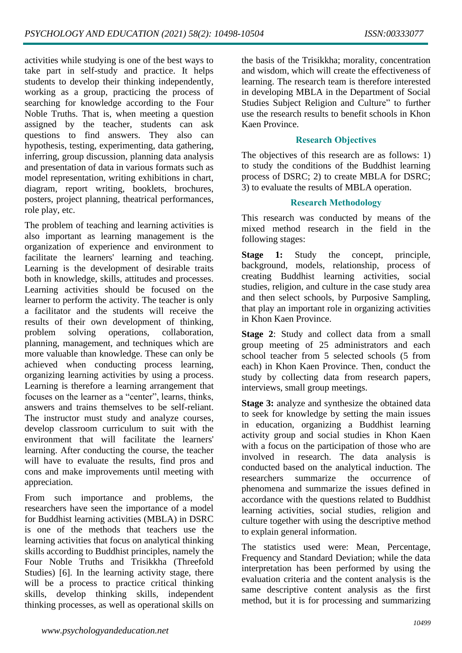activities while studying is one of the best ways to take part in self-study and practice. It helps students to develop their thinking independently, working as a group, practicing the process of searching for knowledge according to the Four Noble Truths. That is, when meeting a question assigned by the teacher, students can ask questions to find answers. They also can hypothesis, testing, experimenting, data gathering, inferring, group discussion, planning data analysis and presentation of data in various formats such as model representation, writing exhibitions in chart, diagram, report writing, booklets, brochures, posters, project planning, theatrical performances, role play, etc.

The problem of teaching and learning activities is also important as learning management is the organization of experience and environment to facilitate the learners' learning and teaching. Learning is the development of desirable traits both in knowledge, skills, attitudes and processes. Learning activities should be focused on the learner to perform the activity. The teacher is only a facilitator and the students will receive the results of their own development of thinking, problem solving operations, collaboration, planning, management, and techniques which are more valuable than knowledge. These can only be achieved when conducting process learning, organizing learning activities by using a process. Learning is therefore a learning arrangement that focuses on the learner as a "center", learns, thinks, answers and trains themselves to be self-reliant. The instructor must study and analyze courses, develop classroom curriculum to suit with the environment that will facilitate the learners' learning. After conducting the course, the teacher will have to evaluate the results, find pros and cons and make improvements until meeting with appreciation.

From such importance and problems, the researchers have seen the importance of a model for Buddhist learning activities (MBLA) in DSRC is one of the methods that teachers use the learning activities that focus on analytical thinking skills according to Buddhist principles, namely the Four Noble Truths and Trisikkha (Threefold Studies) [6]. In the learning activity stage, there will be a process to practice critical thinking skills, develop thinking skills, independent thinking processes, as well as operational skills on

the basis of the Trisikkha; morality, concentration and wisdom, which will create the effectiveness of learning. The research team is therefore interested in developing MBLA in the Department of Social Studies Subject Religion and Culture" to further use the research results to benefit schools in Khon Kaen Province.

### **Research Objectives**

The objectives of this research are as follows: 1) to study the conditions of the Buddhist learning process of DSRC; 2) to create MBLA for DSRC; 3) to evaluate the results of MBLA operation.

### **Research Methodology**

This research was conducted by means of the mixed method research in the field in the following stages:

**Stage 1:** Study the concept, principle, background, models, relationship, process of creating Buddhist learning activities, social studies, religion, and culture in the case study area and then select schools, by Purposive Sampling, that play an important role in organizing activities in Khon Kaen Province.

**Stage 2**: Study and collect data from a small group meeting of 25 administrators and each school teacher from 5 selected schools (5 from each) in Khon Kaen Province. Then, conduct the study by collecting data from research papers, interviews, small group meetings.

**Stage 3:** analyze and synthesize the obtained data to seek for knowledge by setting the main issues in education, organizing a Buddhist learning activity group and social studies in Khon Kaen with a focus on the participation of those who are involved in research. The data analysis is conducted based on the analytical induction. The researchers summarize the occurrence of phenomena and summarize the issues defined in accordance with the questions related to Buddhist learning activities, social studies, religion and culture together with using the descriptive method to explain general information.

The statistics used were: Mean, Percentage, Frequency and Standard Deviation; while the data interpretation has been performed by using the evaluation criteria and the content analysis is the same descriptive content analysis as the first method, but it is for processing and summarizing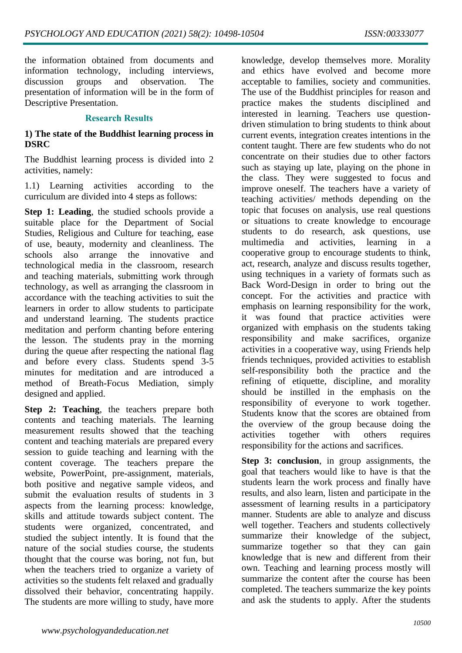the information obtained from documents and information technology, including interviews, discussion groups and observation. The presentation of information will be in the form of Descriptive Presentation.

#### **Research Results**

#### **1) The state of the Buddhist learning process in DSRC**

The Buddhist learning process is divided into 2 activities, namely:

1.1) Learning activities according to the curriculum are divided into 4 steps as follows:

**Step 1: Leading**, the studied schools provide a suitable place for the Department of Social Studies, Religious and Culture for teaching, ease of use, beauty, modernity and cleanliness. The schools also arrange the innovative and technological media in the classroom, research and teaching materials, submitting work through technology, as well as arranging the classroom in accordance with the teaching activities to suit the learners in order to allow students to participate and understand learning. The students practice meditation and perform chanting before entering the lesson. The students pray in the morning during the queue after respecting the national flag and before every class. Students spend 3-5 minutes for meditation and are introduced a method of Breath-Focus Mediation, simply designed and applied.

**Step 2: Teaching**, the teachers prepare both contents and teaching materials. The learning measurement results showed that the teaching content and teaching materials are prepared every session to guide teaching and learning with the content coverage. The teachers prepare the website, PowerPoint, pre-assignment, materials, both positive and negative sample videos, and submit the evaluation results of students in 3 aspects from the learning process: knowledge, skills and attitude towards subject content. The students were organized, concentrated, and studied the subject intently. It is found that the nature of the social studies course, the students thought that the course was boring, not fun, but when the teachers tried to organize a variety of activities so the students felt relaxed and gradually dissolved their behavior, concentrating happily. The students are more willing to study, have more

knowledge, develop themselves more. Morality and ethics have evolved and become more acceptable to families, society and communities. The use of the Buddhist principles for reason and practice makes the students disciplined and interested in learning. Teachers use questiondriven stimulation to bring students to think about current events, integration creates intentions in the content taught. There are few students who do not concentrate on their studies due to other factors such as staying up late, playing on the phone in the class. They were suggested to focus and improve oneself. The teachers have a variety of teaching activities/ methods depending on the topic that focuses on analysis, use real questions or situations to create knowledge to encourage students to do research, ask questions, use multimedia and activities, learning in a cooperative group to encourage students to think, act, research, analyze and discuss results together, using techniques in a variety of formats such as Back Word-Design in order to bring out the concept. For the activities and practice with emphasis on learning responsibility for the work, it was found that practice activities were organized with emphasis on the students taking responsibility and make sacrifices, organize activities in a cooperative way, using Friends help friends techniques, provided activities to establish self-responsibility both the practice and the refining of etiquette, discipline, and morality should be instilled in the emphasis on the responsibility of everyone to work together. Students know that the scores are obtained from the overview of the group because doing the activities together with others requires responsibility for the actions and sacrifices.

**Step 3: conclusion**, in group assignments, the goal that teachers would like to have is that the students learn the work process and finally have results, and also learn, listen and participate in the assessment of learning results in a participatory manner. Students are able to analyze and discuss well together. Teachers and students collectively summarize their knowledge of the subject, summarize together so that they can gain knowledge that is new and different from their own. Teaching and learning process mostly will summarize the content after the course has been completed. The teachers summarize the key points and ask the students to apply. After the students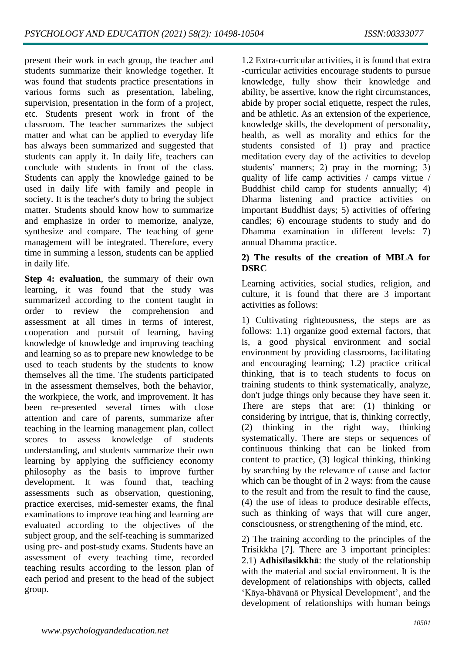present their work in each group, the teacher and students summarize their knowledge together. It was found that students practice presentations in various forms such as presentation, labeling, supervision, presentation in the form of a project, etc. Students present work in front of the classroom. The teacher summarizes the subject matter and what can be applied to everyday life has always been summarized and suggested that students can apply it. In daily life, teachers can conclude with students in front of the class. Students can apply the knowledge gained to be used in daily life with family and people in society. It is the teacher's duty to bring the subject matter. Students should know how to summarize and emphasize in order to memorize, analyze, synthesize and compare. The teaching of gene management will be integrated. Therefore, every time in summing a lesson, students can be applied in daily life.

**Step 4: evaluation**, the summary of their own learning, it was found that the study was summarized according to the content taught in order to review the comprehension and assessment at all times in terms of interest, cooperation and pursuit of learning, having knowledge of knowledge and improving teaching and learning so as to prepare new knowledge to be used to teach students by the students to know themselves all the time. The students participated in the assessment themselves, both the behavior, the workpiece, the work, and improvement. It has been re-presented several times with close attention and care of parents, summarize after teaching in the learning management plan, collect scores to assess knowledge of students understanding, and students summarize their own learning by applying the sufficiency economy philosophy as the basis to improve further development. It was found that, teaching assessments such as observation, questioning, practice exercises, mid-semester exams, the final examinations to improve teaching and learning are evaluated according to the objectives of the subject group, and the self-teaching is summarized using pre- and post-study exams. Students have an assessment of every teaching time, recorded teaching results according to the lesson plan of each period and present to the head of the subject group.

1.2 Extra-curricular activities, it is found that extra -curricular activities encourage students to pursue knowledge, fully show their knowledge and ability, be assertive, know the right circumstances, abide by proper social etiquette, respect the rules, and be athletic. As an extension of the experience, knowledge skills, the development of personality, health, as well as morality and ethics for the students consisted of 1) pray and practice meditation every day of the activities to develop students' manners; 2) pray in the morning; 3) quality of life camp activities / camps virtue / Buddhist child camp for students annually; 4) Dharma listening and practice activities on important Buddhist days; 5) activities of offering candles; 6) encourage students to study and do Dhamma examination in different levels: 7) annual Dhamma practice.

### **2) The results of the creation of MBLA for DSRC**

Learning activities, social studies, religion, and culture, it is found that there are 3 important activities as follows:

1) Cultivating righteousness, the steps are as follows: 1.1) organize good external factors, that is, a good physical environment and social environment by providing classrooms, facilitating and encouraging learning; 1.2) practice critical thinking, that is to teach students to focus on training students to think systematically, analyze, don't judge things only because they have seen it. There are steps that are: (1) thinking or considering by intrigue, that is, thinking correctly, (2) thinking in the right way, thinking systematically. There are steps or sequences of continuous thinking that can be linked from content to practice, (3) logical thinking, thinking by searching by the relevance of cause and factor which can be thought of in 2 ways: from the cause to the result and from the result to find the cause, (4) the use of ideas to produce desirable effects, such as thinking of ways that will cure anger, consciousness, or strengthening of the mind, etc.

2) The training according to the principles of the Trisikkha [7]. There are 3 important principles: 2.1) **Adhisīlasikkhā**: the study of the relationship with the material and social environment. It is the development of relationships with objects, called 'Kāya-bhāvanā or Physical Development', and the development of relationships with human beings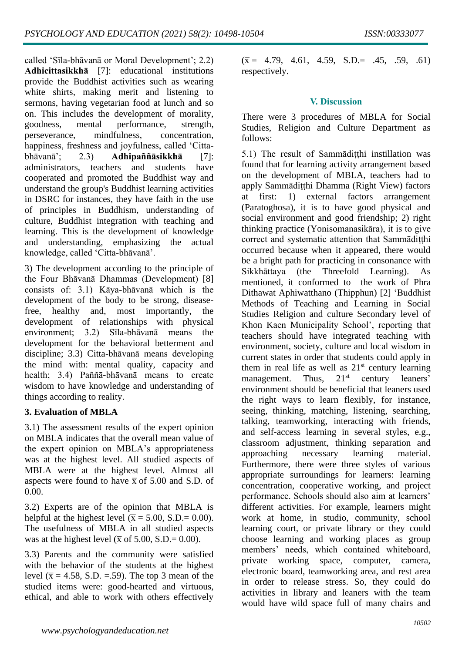called 'Sīla-bhāvanā or Moral Development'; 2.2) **Adhicittasikkhā** [7]: educational institutions provide the Buddhist activities such as wearing white shirts, making merit and listening to sermons, having vegetarian food at lunch and so on. This includes the development of morality, goodness, mental performance, strength, perseverance, mindfulness, concentration, happiness, freshness and joyfulness, called 'Cittabhāvanā'; 2.3) **Adhipaññāsikkhā** [7]: administrators, teachers and students have cooperated and promoted the Buddhist way and understand the group's Buddhist learning activities in DSRC for instances, they have faith in the use of principles in Buddhism, understanding of culture, Buddhist integration with teaching and learning. This is the development of knowledge and understanding, emphasizing the actual knowledge, called 'Citta-bhāvanā'.

3) The development according to the principle of the Four Bhāvanā Dhammas (Development) [8] consists of: 3.1) Kāya-bhāvanā which is the development of the body to be strong, diseasefree, healthy and, most importantly, the development of relationships with physical environment; 3.2) Sīla-bhāvanā means the development for the behavioral betterment and discipline; 3.3) Citta-bhāvanā means developing the mind with: mental quality, capacity and health; 3.4) Paññā-bhāvanā means to create wisdom to have knowledge and understanding of things according to reality.

# **3. Evaluation of MBLA**

3.1) The assessment results of the expert opinion on MBLA indicates that the overall mean value of the expert opinion on MBLA's appropriateness was at the highest level. All studied aspects of MBLA were at the highest level. Almost all aspects were found to have  $\bar{x}$  of 5.00 and S.D. of 0.00.

3.2) Experts are of the opinion that MBLA is helpful at the highest level ( $\bar{x}$  = 5.00, S.D.= 0.00). The usefulness of MBLA in all studied aspects was at the highest level ( $\bar{x}$  of 5.00, S.D.= 0.00).

3.3) Parents and the community were satisfied with the behavior of the students at the highest level ( $\bar{x}$  = 4.58, S.D. = .59). The top 3 mean of the studied items were: good-hearted and virtuous, ethical, and able to work with others effectively

 $(\overline{x} = 4.79, 4.61, 4.59, S.D. = .45, .59, .61)$ respectively.

# **V. Discussion**

There were 3 procedures of MBLA for Social Studies, Religion and Culture Department as follows:

5.1) The result of Sammāditthi instillation was found that for learning activity arrangement based on the development of MBLA, teachers had to apply Sammādiṭṭhi Dhamma (Right View)factors at first: 1) external factors arrangement (Paratoghosa), it is to have good physical and social environment and good friendship; 2) right thinking practice (Yonisomanasikāra), it is to give correct and systematic attention that Sammādiṭṭhi occurred because when it appeared, there would be a bright path for practicing in consonance with Sikkhāttaya(the Threefold Learning). As mentioned, it conformed tothe work of Phra Dithawat Aphiwatthano (Thipphun) [2] 'Buddhist Methods of Teaching and Learning in Social Studies Religion and culture Secondary level of Khon Kaen Municipality School', reporting that teachers should have integrated teaching with environment, society, culture and local wisdom in current states in order that students could apply in them in real life as well as  $21<sup>st</sup>$  century learning management. Thus, 21<sup>st</sup> century leaners' environment should be beneficial that leaners used the right ways to learn flexibly, for instance, seeing, thinking, matching, listening, searching, talking, teamworking, interacting with friends, and self-access learningin several styles, e.g., classroom adjustment, thinking separation and approaching necessary learning material. Furthermore, there were three styles of various appropriate surroundings for learners: learning concentration, cooperative working, and project performance. Schools should also aim at learners' different activities. For example, learners might work at home, in studio, community, school learning court, or private library or they could choose learning and working places as group members' needs, which contained whiteboard, private working space, computer, camera, electronic board, teamworking area, and rest area in order to release stress. So, they could do activities in library and leaners with the team would have wild space full of many chairs and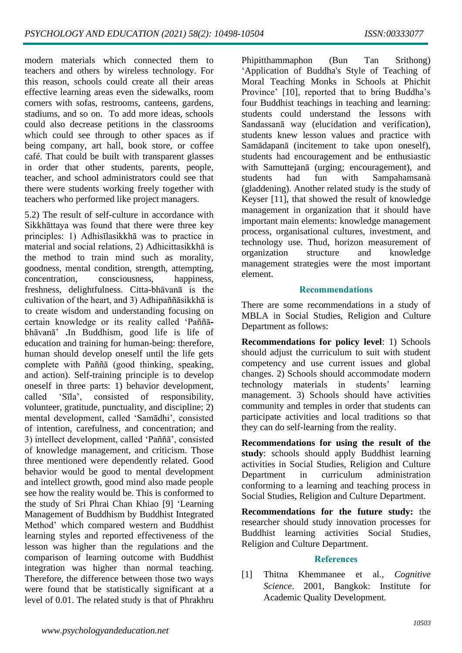modern materials which connected them to teachers and others by wireless technology. For this reason, schools could create all their areas effective learning areas even the sidewalks, room corners with sofas, restrooms, canteens, gardens, stadiums, and so on. To add more ideas, schools could also decrease petitions in the classrooms which could see through to other spaces as if being company, art hall, book store, or coffee café. That could be built with transparent glasses in order that other students, parents, people, teacher, and school administrators could see that there were students working freely together with teachers who performed like project managers.

5.2) The result of self-culture in accordance with Sikkhāttaya was found that there were three key principles: 1) Adhisīlasikkhā was to practice in material and social relations, 2) Adhicittasikkhā is the method to train mind such as morality, goodness, mental condition, strength, attempting, concentration, consciousness, happiness, freshness, delightfulness. Citta-bhāvanā is the cultivation of the heart, and 3) Adhipaññāsikkhā is to create wisdom and understanding focusing on certain knowledge or its reality called 'Paññābhāvanā' **.**In Buddhism, good life is life of education and training for human-being: therefore, human should develop oneself until the life gets complete with Paññā (good thinking, speaking, and action). Self-training principle is to develop oneself in three parts: 1) behavior development, called 'Sīla', consisted of responsibility, volunteer, gratitude, punctuality, and discipline; 2) mental development, called 'Samādhi', consisted of intention, carefulness, and concentration; and 3) intellect development, called 'Paññā', consisted of knowledge management, and criticism. Those three mentioned were dependently related. Good behavior would be good to mental development and intellect growth, good mind also made people see how the reality would be. This is conformed to the study of Sri Phrai Chan Khiao [9] 'Learning Management of Buddhism by Buddhist Integrated Method' which compared western and Buddhist learning styles and reported effectiveness of the lesson was higher than the regulations and the comparison of learning outcome with Buddhist integration was higher than normal teaching. Therefore, the difference between those two ways were found that be statistically significant at a level of 0.01. The related study is that of Phrakhru Phipitthammaphon (Bun Tan Srithong) 'Application of Buddha's Style of Teaching of Moral Teaching Monks in Schools at Phichit Province' [10], reported that to bring Buddha's four Buddhist teachings in teaching and learning: students could understand the lessons with Sandassanā way (elucidation and verification), students knew lesson values and practice with Samādapanā (incitement to take upon oneself), students had encouragement and be enthusiastic with Samuttejanā (urging; encouragement), and students had fun with Sampahamsanà (gladdening). Another related study is the study of Keyser [11], that showed the result of knowledge management in organization that it should have important main elements: knowledge management process, organisational cultures, investment, and technology use. Thud, horizon measurement of organization structure and knowledge management strategies were the most important element.

#### **Recommendations**

There are some recommendations in a study of MBLA in Social Studies, Religion and Culture Department as follows:

**Recommendations for policy level**: 1) Schools should adjust the curriculum to suit with student competency and use current issues and global changes. 2) Schools should accommodate modern technology materials in students' learning management. 3) Schools should have activities community and temples in order that students can participate activities and local traditions so that they can do self-learning from the reality.

**Recommendations for using the result of the study**: schools should apply Buddhist learning activities in Social Studies, Religion and Culture Department in curriculum administration conforming to a learning and teaching process in Social Studies, Religion and Culture Department.

**Recommendations for the future study:** the researcher should study innovation processes for Buddhist learning activities Social Studies, Religion and Culture Department.

#### **References**

[1] Thitna Khemmanee et al., *Cognitive Science*. 2001, Bangkok: Institute for Academic Quality Development.